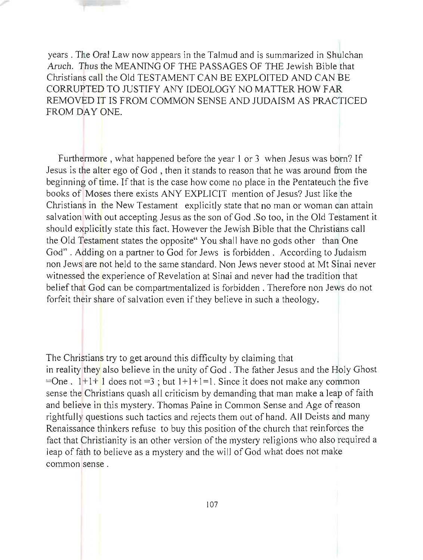years. The Oral Law now appears in the Talmud and is summarized in Shulchan Aruch. Thus the MEANING OF THE PASSAGES OF THE Jewish Bible that Christians call the Old TESTAMENT CAN BE EXPLOITED AND CAN BE CORRUPTED TO JUSTIFY ANY IDEOLOGY NO MATTER HOW FAR REMOVED IT IS FROM COMMON SENSE AND JUDAISM AS PRACTICED FROM DAY ONE.

Furthermore, what happened before the year I or 3 when Jesus was born? If Jesus is the alter ego of God, then it stands to reason that he was around from the beginning of time. If that is the case how come no place in the Pentateuch the five books of Moses there exists ANY EXPLICIT mention of Jesus? Just like the Christians in the New Testament explicitly state that no man or woman can attain salvation with out accepting Jesus as the son of God .So too, in the Old Testament it should explicitly state this fact. However the Jewish Bible that the Christians call the Old Testament states the opposite" You shall have no gods other than One God" . Adding on a partner to God for Jews is forbidden. According to Judaism non Jews are not held to the same standard. Non Jews never stood at Mt Sinai never witnessed the experience of Revelation at Sinai and never had the tradition that belief that God can be compartmentalized is forbidden. Therefore non Jews do not forfeit their share of salvation even if they believe in such a theology.

The Christians try to get around this difficulty by claiming that in reality they also believe in the unity of God. The father Jesus and the Holy Ghost  $=$ One.  $1+1+1$  does not  $=3$ ; but  $1+1+1=1$ . Since it does not make any common sense the Christians quash all criticism by demanding that man make a leap of faith and believe in this mystery. Thomas Paine in Common Sense and Age of reason rightfully questions such tactics and rejects them out of hand. All Deists and many Renaissance thinkers refuse to buy this position of the church that reinforces the fact that Christianity is an other version of the mystery religions who also required a leap of fath to be lieve as a mystery and the will of God what does not make common sense.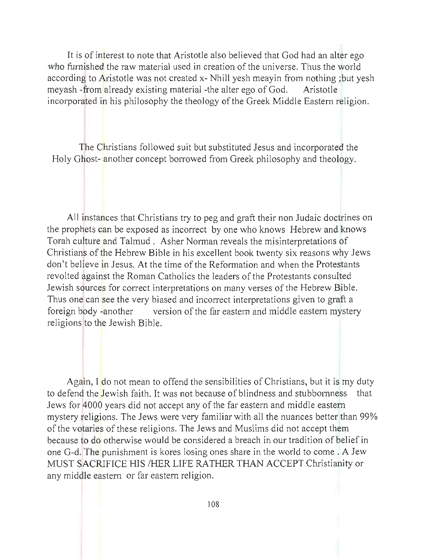It is of interest to note that Aristotle also believed that God had an alter ego who furnished the raw material used in creation of the universe. Thus the world according to Aristotle was not created x- Nhill yesh meayin from nothing ;but yesh meyash -from already existing material -the alter ego of God. Aristotle incorporated in his philosophy the theology of the Greek Middle Eastern religion.

The Christians followed suit but substituted Jesus and incorporated the Holy Ghost- another concept borrowed from Greek philosophy and theology.

All instances that Christians try to peg and graft their non Judaic doctrines on the prophets can be exposed as incorrect by one who knows Hebrew and knows Torah culture and Talmud. Asher Norman reveals the misinterpretations of Christians of the Hebrew Bible in his excellent book twenty six reasons why Jews don 't believe in Jesus. At the time of the Reformation and when the Protestants revolted against the Roman Catholics the leaders of the Protestants consulted Jewish sources for correct interpretations on many verses of the Hebrew Bible. Thus one can see the very biased and incorrect interpretations given to graft a foreign body -another version of the far eastern and middle eastern mystery religions to the Jewish Bible.

Again, I do not mean to offend the sensibilities of Christians, but it is my duty to defend the Jewish faith. It was not because of blindness and stubbornness that Jews for 4000 years did not accept any of the far eastern and middle eastern mystery religions. The Jews were very familiar with all the nuances better than 99% of the votaries of these religions. The Jews and Muslims did not accept them because to do otherwise would be considered a breach in our tradition of belief in one G-d. The punishment is kores losing ones share in the world to come . A Jew MUST SACRIFICE HIS /HER LIFE RATHER THAN ACCEPT Christianity or any middle eastern or far eastern religion.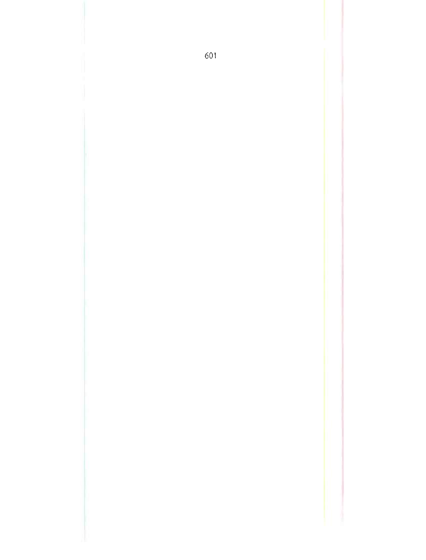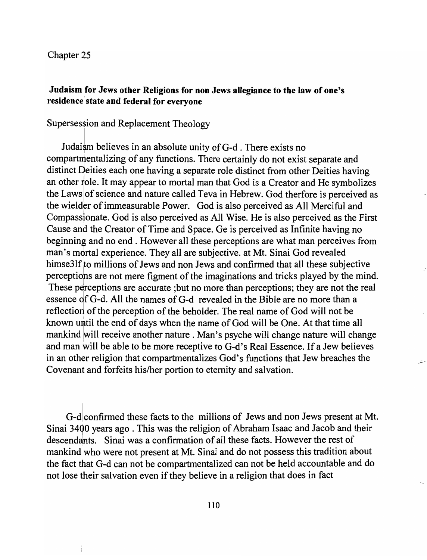#### Chapter 25

### Judaism for Jews other Religions for non Jews allegiance to the law of one's residence state and federal for everyone

### Supersession and Replacement Theology

Judaism believes in an absolute unity of G-d. There exists no compartmentalizing of any functions. There certainly do not exist separate and distinct Deities each one having a separate role distinct from other Deities having an other role. It may appear to mortal man that God is a Creator and He symbolizes the Laws of science and nature called Teva in Hebrew. God therfore is perceived as the wielder of immeasurable Power. God is also perceived as All Merciful and Compassionate. God is also perceived as All Wise. He is also perceived as the First Cause and the Creator of Time and Space. Ge is perceived as Infinite having no beginning and no end. However all these perceptions are what man perceives from man's mdrtal experience. They all are subjective. at Mt. Sinai God revealed himse3lf to millions of Jews and non Jews and confirmed that all these subjective perceptiohs are not mere figment of the imaginations and tricks played by the mind. <sup>I</sup> These perceptions are accurate ;but no more than perceptions; they are not the real essence of G-d. All the names of G-d revealed in the Bible are no more than a reflection of the perception of the beholder. The real name of God will not be known until the end of days when the name of God will be One. At that time all mankind will receive another nature . Man's psyche will change nature will change and man will be able to be more receptive to G-d's Real Essence. If a Jew believes in an other religion that compartmentalizes God's functions that Jew breaches the Covenant and forfeits his/her portion to eternity and salvation.

G-d confirmed these facts to the millions of Jews and non Jews present at Mt. Sinai 3400 years ago. This was the religion of Abraham Isaac and Jacob and their descendants. Sinai was a confirmation of all these facts. However the rest of mankind who were not present at Mt. Sinai and do not possess this tradition about the fact that G-d can not be compartmentalized can not be held accountable and do not lose their salvation even if they believe in a religion that does in fact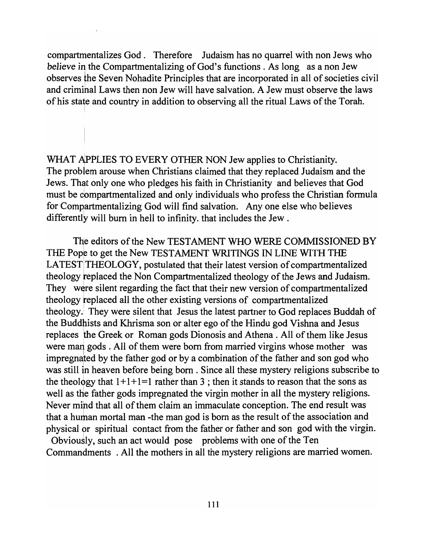compartmentalizes God. Therefore Judaism has no quarrel with non Jews who believe in the Compartmentalizing of God's functions. As long as a non Jew observes the Seven Nohadite Principles that are incorporated in all of societies civil and crimihal Laws then non Jew will have salvation. A Jew must observe the laws of his state and country in addition to observing all the ritual Laws of the Torah.

WHAT APPLIES TO EVERY OTHER NON Jew applies to Christianity. The problem arouse when Christians claimed that they replaced Judaism and the Jews. That only one who pledges his faith in Christianity and believes that God must be compartmentalized and only individuals who profess the Christian formula for Compartmentalizing God will find salvation. Anyone else who believes differently will bum in hell to infinity. that includes the Jew.

*The* editors of the New TESTAMENT WHO WERE COMMISSIONED BY THE Pope to get the New TESTAMENT WRITINGS IN LINE WITH THE LATEST|THEOLOGY, postulated that their latest version of compartmentalized theology replaced the Non Compartmentalized theology of the Jews and Judaism. They were silent regarding the fact that their new version of compartmentalized theology replaced all the other existing versions of compartmentalized theology.! They were silent that Jesus the latest partner to God replaces Buddah of the Buddhists and Khrisma son or alter ego of the Hindu god Vishna and Jesus replaces the Greek or Roman gods Dionosis and Athena. All of them like Jesus were man gods . All of them were born from married virgins whose mother was impregnated by the father god or by a combination of the father and son god who was still in heaven before being born. Since all these mystery religions subscribe to the theology that  $1+1+1=1$  rather than 3; then it stands to reason that the sons as well as the father gods impregnated the virgin mother in all the mystery religions. Never mird that all of them claim an immaculate conception. The end result was that a human mortal man -the man god is born as the result of the association and physical or spiritual contact from the father or father and son god with the virgin.

Obviously, such an act would pose problems with one of the Ten Commandments . All the mothers in all the mystery religions are married women.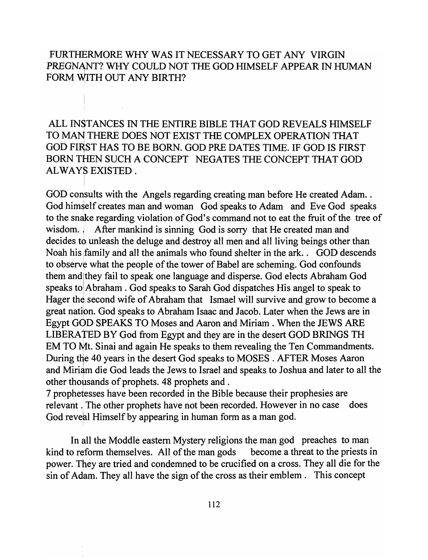## FURTHERMORE WHY WAS IT NECESSARY TO GET ANY VIRGIN PREGNANT? WHY COULD NOT THE GOD HIMSELF APPEAR IN HUMAN FORM WITH OUT ANY BIRTH?

ALL INSTANCES IN THE ENTIRE BIBLE THAT GOD REVEALS HIMSELF TO MAN THERE DOES NOT EXIST THE COMPLEX OPERATION THAT GOD FIRST HAS TO BE BORN. GOD PRE DATES TIME. IF GOD IS FIRST BORN THEN SUCH A CONCEPT NEGATES THE CONCEPT THAT GOD AL WAYS EXISTED.

GOD consults with the Angels regarding creating man before He created Adam... God himself creates man and woman God speaks to Adam and Eve God speaks to the snake regarding violation of God's command not to eat the fruit of the tree of wisdom. After mankind is sinning God is sorry that He created man and decides to unleash the deluge and destroy all men and all living beings other than Noah his family and all the animals who found shelter in the ark. GOD descends to observe what the people of the tower of Babel are scheming. God confounds them and they fail to speak one language and disperse. God elects Abraham God speaks to Abraham . God speaks to Sarah God dispatches His angel to speak to Hager the second wife of Abraham that Ismael will survive and grow to become a great nation. God speaks to Abraham Isaac and Jacob. Later when the Jews are in Egypt GOD SPEAKS TO Moses and Aaron and Miriam. When the JEWS ARE LIBERATED BY God from Egypt and they are in the desert GOD BRINGS TH EM TO Mt. Sinai and again He speaks to them revealing the Ten Commandments. During die 40 years in the desert God speaks to MOSES . AFTER Moses Aaron and Miriam die God leads the Jews to Israel and speaks to Joshua and later to all the other thousands of prophets. 48 prophets and.

7 prophetesses have been recorded in the Bible because their prophesies are relevant . The other prophets have not been recorded. However in no case does God reveal Himself by appearing in human form as a man god.

In all the Moddle eastern Mystery religions the man god preaches to man kind to reform themselves. All of the man gods become a threat to the priests in power. They are tried and condemned to be crucified on a cross. They all die for the sin of Adam. They all have the sign of the cross as their emblem. This concept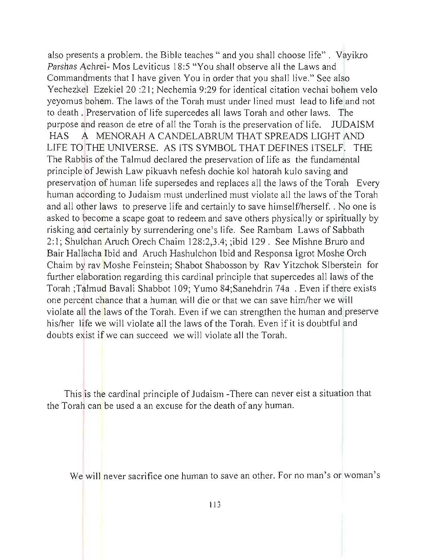also presents a problem. the Bible teaches" and you shall choose life" . Vayikro *Parshas* Achrei- Mos Leviticus 18:5 "You shall observe all the Laws and Commandments that I have given You in order that you shall live." See also Yechezkel Ezekiel 20:21; Nechemia 9:29 for identical citation vechai bohem velo yeyomus bohem. The laws of the Torah must under lined must lead to life and not to death. Preservation of life supercedes all laws Torah and other laws. The purpose and reason de etre of all the Torah is the preservation of life. JUDAISM HAS A MENORAH A CANDELABRUM THAT SPREADS LIGHT AND LIFE TO THE UNIVERSE. AS ITS SYMBOL THAT DEFINES ITSELF. THE The Rabbis of the Talmud declared the preservation of life as the fundamental principle of Jewish Law pikuavh nefesh dochie kol hatorah kulo saving and preservation of human life supersedes and replaces all the laws of the Torah Every human according to Judaism must underlined must violate all the laws of the Torah and all other laws to preserve life and certainly to save himself/herself. . No one is asked to become a scape goat to redeem and save others physically or spiritually by risking and certainly by surrendering one's life. See Rambam Laws of Sabbath 2: I; Shulchan Aruch Orech Chaim 128:2,3.4; ;ibid 129. See Mishne Bruro and Bair Hallacha Ibid and Aruch Hashulchon Ibid and Responsa Igrot Moshe Orch Chaim by rav Moshe Feinstein; Shabot Shabosson by Rav Yitzchok Slberstein for further elaboration regarding this cardinal principle that supercedes all laws of the Torah ;Talmud Bavali Shabbot 109; Yumo 84;Sanehdrin 74a . Even if there exists one percent chance that a human will die or that we can save him/her we will violate all the laws of the Torah. Even if we can strengthen the human and preserve his/her life we will violate all the laws of the Torah. Even if it is doubtful and doubts exist if we can succeed we will violate all the Torah.

This is the cardinal principle of Judaism -There can never eist a situation that the Torah can be used a an excuse for the death of any human.

We will never sacrifice one human to save an other. For no man's or woman's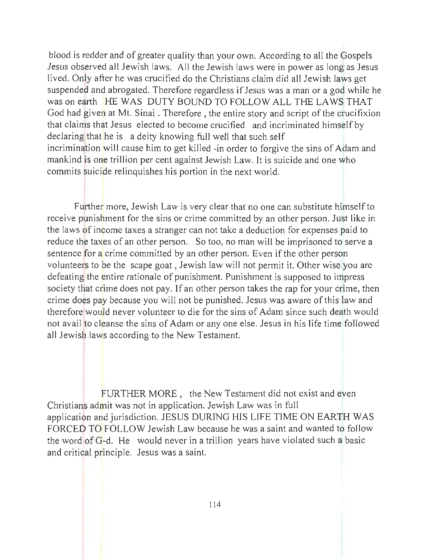blood is redder and of greater quality than your own. According to all the Gospels Jesus observed all Jewish laws. All the Jewish laws were in power as long as Jesus lived. Only after he was crucified do the Christians claim did all Jewish laws get suspended and abrogated. Therefore regardless if Jesus was a man or a god while he was on earth HE WAS DUTY BOUND TO FOLLOW ALL THE LA WS THAT God had given at Mt. Sinai. Therefore, the entire story and script of the crucifixion that claims that Jesus elected to become crucified and incriminated himself by declaring that he is a deity knowing full well that such self incrimination will cause him to get killed -in order to forgive the sins of Adam and mankind is one trillion per cent against Jewish Law. It is suicide and one who commits suicide relinquishes his portion in the next world.

Further more, Jewish Law is very clear that no one can substitute himself to receive punishment for the sins or crime committed by an other person. Just like in the laws of income taxes a stranger can not take a deduction for expenses paid to reduce the taxes of an other person. So too, no man will be imprisoned to serve a sentence for a crime committed by an other person. Even if the other person volunteers to be the scape goat, Jewish law will not permit it. Other wise you are defeating the entire rationale of punishment. Punishment is supposed to impress society that crime does not pay. If an other person takes the rap for your crime, then crime does pay because you will not be punished. Jesus was aware of this law and therefore would never volunteer to die for the sins of Adam since such death would not avail to cleanse the sins of Adam or any one else. Jesus in his life time followed all Jewish laws according to the New Testament.

FURTHER MORE, the New Testament did not exist and even Christians admit was not in application. Jewish Law was in full application and jurisdiction. JESUS DURING HIS LIFE TIME ON EARTH WAS FORCED TO FOLLOW Jewish Law because he was a saint and wanted to follow the word of G-d. He would never in a trillion years have violated such a basic and critical principle. Jesus was a saint.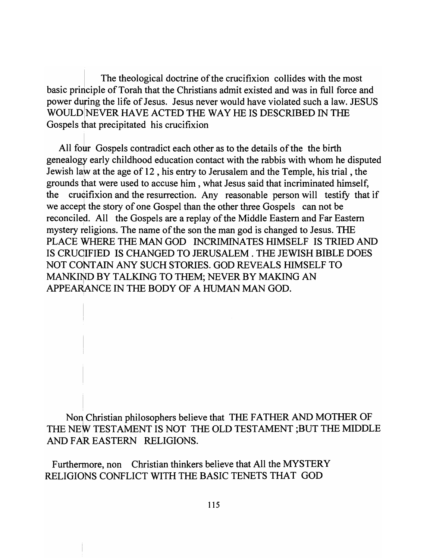The theological doctrine of the crucifixion collides with the most basic principle of Torah that the Christians admit existed and was in full force and power during the life of Jesus. Jesus never would have violated such a law. JESUS WOULD NEVER HAVE ACTED THE WAY HE IS DESCRIBED IN THE Gospels that precipitated his crucifixion

All four Gospels contradict each other as to the details of the the birth genealogy early childhood education contact with the rabbis with whom he disputed Jewish law at the age of 12, his entry to Jerusalem and the Temple, his trial, the grounds that were used to accuse him, what Jesus said that incriminated himself, the crucifixion and the resurrection. Any reasonable person will testify that if we accept the story of one Gospel than the other three Gospels can not be reconciled. All the Gospels are a replay of the Middle Eastern and Far Eastern mystery religions. The name of the son the man god is changed to Jesus. THE PLACE WHERE THE MAN GOD INCRIMINATES HIMSELF IS TRIED AND IS CRUOIFIED IS CHANGED TO JERUSALEM. THE JEWISH BIBLE DOES NOT CONTAIN ANY SUCH STORIES. GOD REVEALS HIMSELF TO MANKIND BY TALKING TO THEM; NEVER BY MAKING AN APPEARANCE IN THE BODY OF A HUMAN MAN GOD.

Non Christian philosophers believe that THE FATHER AND MOTHER OF THE NEW TESTAMENT IS NOT THE OLD TESTAMENT ;BUT THE MIDDLE AND FAR EASTERN RELIGIONS.

Furthermore, non Christian thinkers believe that All the MYSTERY RELIGIONS CONFLICT WITH THE BASIC TENETS THAT GOD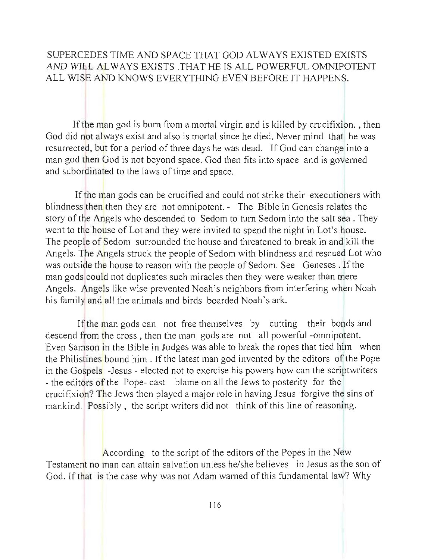# SUPERCEDES TIME AND SPACE THAT GOD AL WAYS EXISTED EXISTS AND WILL ALWAYS EXISTS .THAT HE IS ALL POWERFUL OMNIPOTENT ALL WISE AND KNOWS EVERYTHING EVEN BEFORE IT HAPPENS.

If the man god is born from a mortal virgin and is killed by crucifixion. , then God did not always exist and also is mortal since he died. Never mind that he was resurrected, but for a period of three days he was dead. If God can change into a man god then God is not beyond space. God then fits into space and is governed and subordinated to the laws of time and space.

If the man gods can be crucified and could not strike their executioners with blindness then then they are not omnipotent. - The Bible in Genesis relates the story of the Angels who descended to Sedom to turn Sedom into the salt sea. They went to the house of Lot and they were invited to spend the night in Lot's house. The people of Sedom surrounded the house and threatened to break in and kill the Angels. The Angels struck the people of Sedom with blindness and rescued Lot who was outside the house to reason with the people of Sedom. See Geneses. If the man gods could not duplicates such miracles then they were weaker than mere Angels. Angels like wise prevented Noah's neighbors from interfering when Noah his family and all the animals and birds boarded Noah's ark.

If the man gods can not free themselves by cutting their bonds and descend from the cross , then the man gods are not all powerful -omnipotent. Even Samson in the Bible in Judges was able to break the ropes that tied him when the Philistines bound him. If the latest man god invented by the editors of the Pope in the Gospels -Jesus - elected not to exercise his powers how can the scriptwriters - the editors of the Pope- cast blame on all the Jews to posterity for the crucifixion? The Jews then played a major role in having Jesus forgive the sins of mankind. Possibly , the script writers did not think of this line of reasoning.

According to the script of the editors of the Popes in the New Testament no man can attain salvation unless he/she believes in Jesus as the son of God. If that is the case why was not Adam warned of this fundamental law? Why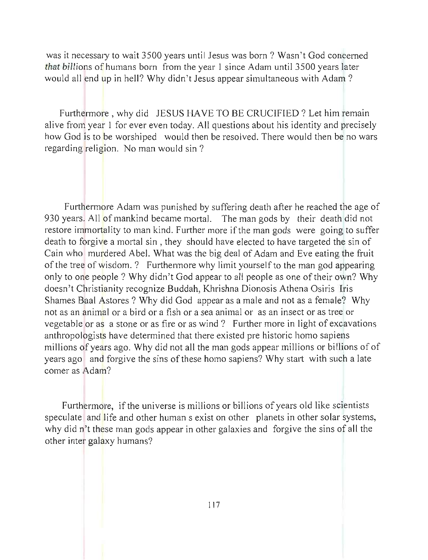was it necessary to wait 3500 years until Jesus was born ? Wasn't God concerned *that billions* of humans born from the year I since Adam until 3500 years later would all end up in hell? Why didn't Jesus appear simultaneous with Adam?

Furthermore , why did JESUS HAVE TO BE CRUCIFIED? Let him remain alive from year 1 for ever even today. All questions about his identity and precisely how God is to be worshiped would then be resolved. There would then be no wars regarding religion. No man would sin?

Furthermore Adam was punished by suffering death after he reached the age of 930 years. All of mankind became mortal. The man gods by their death did not restore immortality to man kind. Further more if the man gods were going to suffer death to forgive a mortal sin, they should have elected to have targeted the sin of Cain who murdered Abel. What was the big deal of Adam and Eve eating the fruit of the tree of wisdom.? Furthermore why limit yourself to the man god appearing only to one people? Why didn't God appear to all people as one of their own? Why doesn't Christianity recognize Buddah, Khrishna Dionosis Athena Osiris Iris Shames Baal Astores ? Why did God appear as a male and not as a female? Why not as an animal or a bird or a fish or a sea animal or as an insect or as tree or vegetable or as a stone or as fire or as wind? Further more in light of excavations anthropologists have determined that there existed pre historic homo sapiens millions of years ago. Why did not all the man gods appear millions or billions of of years ago and forgive the sins of these homo sapiens? Why start with such a late comer as Adam?

Furthermore, if the universe is millions or billions of years old like scientists speculate and life and other human s exist on other planets in other solar systems, why did n't these man gods appear in other galaxies and forgive the sins of all the other inter galaxy humans?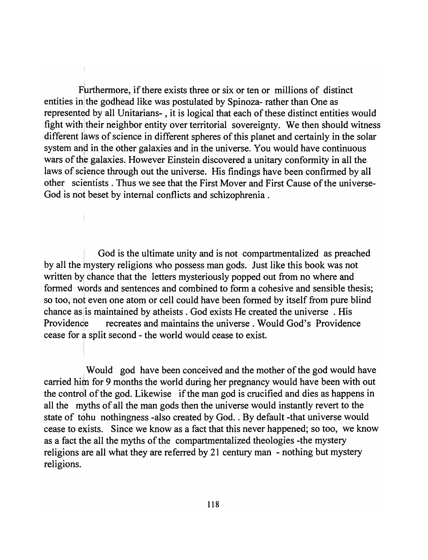Furthermore, if there exists three or six or ten or millions of distinct entities in the godhead like was postulated by Spinoza- rather than One as represented by all Unitarians- , it is logical that each of these distinct entities would fight with their neighbor entity over territorial sovereignty. We then should witness different laws of science in different spheres of this planet and certainly in the solar system and in the other galaxies and in the universe. You would have continuous wars of the galaxies. However Einstein discovered a unitary conformity in all the laws of science through out the universe. His findings have been confirmed by all other scientists. Thus we see that the First Mover and First Cause of the universe-God is not beset by internal conflicts and schizophrenia.

God is the ultimate unity and is not compartmentalized as preached by all the mystery religions who possess man gods. Just like this book was not written by chance that the letters mysteriously popped out from no where and formed words and sentences and combined to form a cohesive and sensible thesis; so too, not even one atom or cell could have been formed by itself from pure blind chance as is maintained by atheists. God exists He created the universe. His Providence recreates and maintains the universe. Would God's Providence cease for a split second - the world would cease to exist.

 $\bar{\phantom{a}}$ 

Would god have been conceived and the mother of the god would have carried him for 9 months the world during her pregnancy would have been with out the contrdl of the god. Likewise if the man god is crucified and dies as happens in all the myths of all the man gods then the universe would instantly revert to the state of tohu nothingness -also created by God. . By default -that universe would cease to ekists. Since we know as a fact that this never happened; so too, we know as a fact the all the myths of the compartmentalized theologies -the mystery religions are all what they are referred by 21 century man - nothing but mystery religions.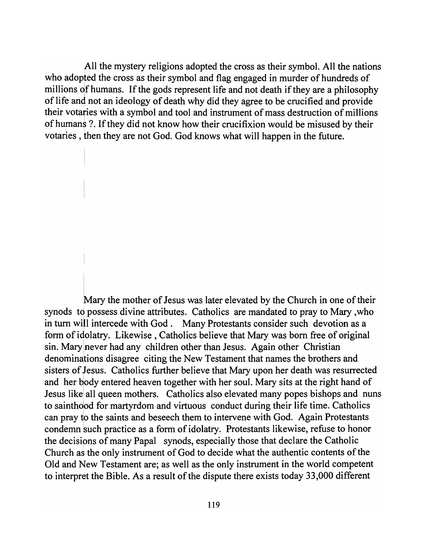All the mystery religions adopted the cross as their symbol. All the nations who adopted the cross as their symbol and flag engaged in murder of hundreds of millions of humans. If the gods represent life and not death if they are a philosophy of life and not an ideology of death why did they agree to be crucified and provide their votaries with a symbol and tool and instrument of mass destruction of millions of humans ?. If they did not know how their crucifixion would be misused by their votaries, then they are not God. God knows what will happen in the future.

Mary the mother of Jesus was later elevated by the Church in one of their synods to possess divine attributes. Catholics are mandated to pray to Mary ,who in turn will intercede with God. Many Protestants consider such devotion as a form of idolatry. Likewise, Catholics believe that Mary was born free of original sin. Marylnever had any children other than Jesus. Again other Christian denominations disagree citing the New Testament that names the brothers and sisters of Jesus. Catholics further believe that Mary upon her death was resurrected and her body entered heaven together with her soul. Mary sits at the right hand of Jesus like all queen mothers. Catholics also elevated many popes bishops and nuns to sainthood for martyrdom and virtuous conduct during their life time. Catholics can pray to the saints and beseech them to intervene with God. Again Protestants condemn such practice as a form of idolatry. Protestants likewise, refuse to honor the decisions of many Papal synods, especially those that declare the Catholic Church as the only instrument of God to decide what the authentic contents of the Old and New Testament are; as well as the only instrument in the world competent to interpret the Bible. As a result of the dispute there exists today 33,000 different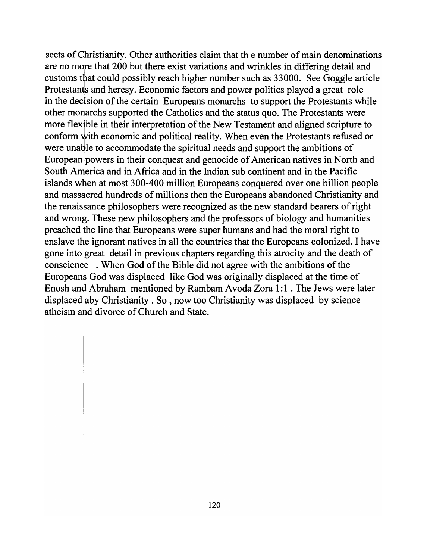sects of Christianity. Other authorities claim that th e number of main denominations are no more that 200 but there exist variations and wrinkles in differing detail and customs that could possibly reach higher number such as 33000. See Goggle article Protestants and heresy. Economic factors and power politics played a great role in the decision of the certain Europeans monarchs to support the Protestants while other monarchs supported the Catholics and the status quo. The Protestants were more flexible in their interpretation of the New Testament and aligned scripture to conform with economic and political reality. When even the Protestants refused or were unable to accommodate the spiritual needs and support the ambitions of European ipowers in their conquest and genocide of American natives in North and South America and in Africa and in the Indian sub continent and in the Pacific islands when at most 300-400 million Europeans conquered over one billion people and mass acred hundreds of millions then the Europeans abandoned Christianity and the renaissance philosophers were recognized as the new standard bearers of right and wrong. These new philosophers and the professors of biology and humanities preached the line that Europeans were super humans and had the moral right to enslave the ignorant natives in all the countries that the Europeans colonized. I have gone into great detail in previous chapters regarding this atrocity and the death of consciende . When God of the Bible did not agree with the ambitions of the Europeans God was displaced like God was originally displaced at the time of Enosh and Abraham mentioned by Rambam Avoda Zora 1:1. The Jews were later displaced aby Christianity. So, now too Christianity was displaced by science atheism ahd divorce of Church and State.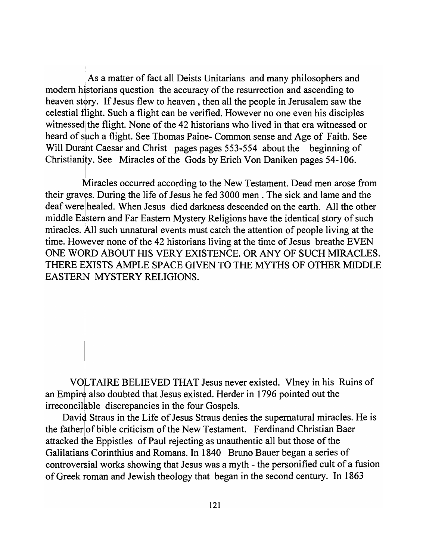As a matter of fact all Deists Unitarians and many philosophers and modem historians question the accuracy of the resurrection and ascending to heaven story. If Jesus flew to heaven, then all the people in Jerusalem saw the celestial flight. Such a flight can be verified. However no one even his disciples witnessed the flight. None of the 42 historians who lived in that era witnessed or heard of such a flight. See Thomas Paine- Common sense and Age of Faith. See Will Durant Caesar and Christ pages pages 553-554 about the beginning of Christianity. See Miracles of the Gods by Erich Von Daniken pages 54-106.

Miracles occurred according to the New Testament. Dead men arose from their graves. During the life of Jesus he fed 3000 men. The sick and lame and the deafwerelhealed. When Jesus died darkness descended on the earth. All the other middle Eastern and Far Eastern Mystery Religions have the identical story of such miracles. All such unnatural events must catch the attention of people living at the time. However none of the 42 historians living at the time of Jesus breathe EVEN ONE woRD ABOUT HIS VERY EXISTENCE. OR ANY OF SUCH MIRACLES. THERE EXISTS AMPLE SPACE GIVEN TO THE MYTHS OF OTHER MIDDLE EASTERN MYSTERY RELIGIONS.

VOLTAIRE BELIEVED THAT Jesus never existed. Vlney in his Ruins of an Empire also doubted that Jesus existed. Herder in 1 796 pointed out the irreconcilable discrepancies in the four Gospels.

David Straus in the Life of Jesus Straus denies the supernatural miracles. He is the father of bible criticism of the New Testament. Ferdinand Christian Baer attacked the Eppistles of Paul rejecting as unauthentic all but those of the Galilatians Corinthius and Romans. In 1840 Bruno Bauer began a series of controversial works showing that Jesus was a myth - the personified cult of a fusion of Greek roman and Jewish theology that began in the second century. In 1863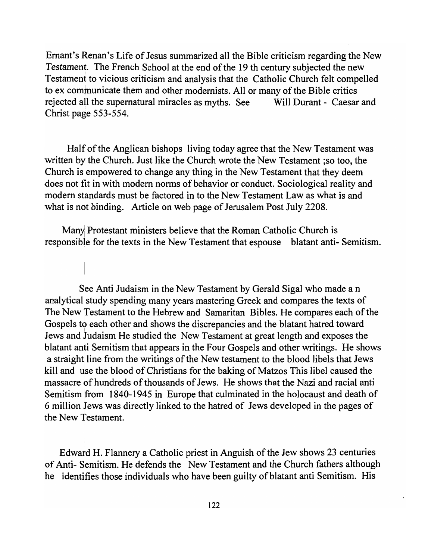Ernant's Renan's Life of Jesus summarized all the Bible criticism regarding the New Testament. The French School at the end of the 19 th century subjected the new Testament to vicious criticism and analysis that the Catholic Church felt compelled to ex communicate them and other modernists. All or many of the Bible critics<br>
rejected all the supernatural miracles as myths. See Will Durant - Caesar and rejected all the supernatural miracles as myths. See Christ page 553-554.

Half of the Anglican bishops living today agree that the New Testament was written by the Church. Just like the Church wrote the New Testament ;so too, the Church is empowered to change any thing in the New Testament that they deem does not fit in with modem norms of behavior or conduct. Sociological reality and modern standards must be factored in to the New Testament Law as what is and what is not binding. Article on web page of Jerusalem Post July 2208.

Many Protestant ministers believe that the Roman Catholic Church is responsible for the texts in the New Testament that espouse blatant anti- Semitism.

See Anti Judaism in the New Testament by Gerald Sigal who made a n analytical study spending many years mastering Greek and compares the texts of The New Testament to the Hebrew and Samaritan Bibles. He compares each of the Gospels to each other and shows the discrepancies and the blatant hatred toward Jews and Judaism He studied the New Testament at great length and exposes the blatant anti Semitism that appears in the Four Gospels and other writings. He shows a straight line from the writings of the New testament to the blood libels that Jews kill and use the blood of Christians for the baking of Matzos This libel caused the massacre of hundreds of thousands of Jews. He shows that the Nazi and racial anti Semitism from 1840-1945 in Europe that culminated in the holocaust and death of 6 million Jews was directly linked to the hatred of Jews developed in the pages of the New Testament.

Edward H. Flannery a Catholic priest in Anguish of the Jew shows 23 centuries of Anti- Semitism. He defends the New Testament and the Church fathers although he identifies those individuals who have been guilty of blatant anti Semitism. His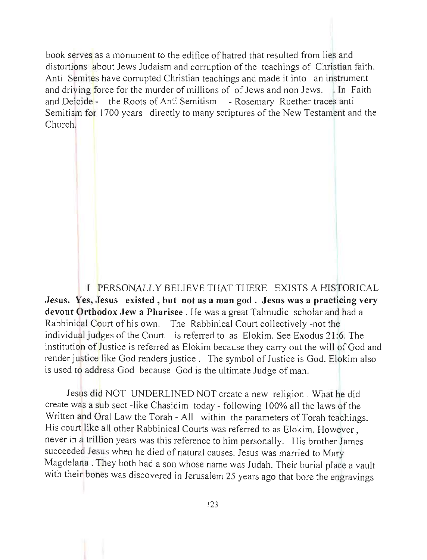book serves as a monument to the edifice of hatred that resulted from lies and distortions about Jews Judaism and corruption of the teachings of Christian faith. Anti Semites have corrupted Christian teachings and made it into an instrument and driving force for the murder of millions of of Jews and non Jews. . In Faith and Deicide - the Roots of Anti Semitism - Rosemary Ruether traces anti Semitism for 1700 years directly to many scriptures of the New Testament and the Church.

I PERSONALLY BELIEVE THAT THERE EXISTS A HISTORICAL Jesus. Yes, Jesus existed, but not as a man god . Jesus was a practicing very devout Orthodox Jew a Pharisee. He was a great Talmudic scholar and had a Rabbinical Court of his own. The Rabbinical Court collectively -not the individual judges of the Court is referred to as Elokim. See Exodus 21:6. The institution of Justice is referred as Elokim because they carry out the will of God and render justice like God renders justice. The symbol of Justice is God. Elokim also is used to address God because God is the ultimate Judge of man.

Jesus did NOT UNDERLINED NOT create a new religion . What he did create was a sub sect -like Chasidim today - following 100% all the laws of the Written and Oral Law the Torah - All within the parameters of Torah teachings. His court like all other Rabbinical Courts was referred to as Elokim. However, never in a trillion years was this reference to him personally. His brother James succeeded Jesus when he died of natural causes. Jesus was married to Mary Magdelana . They both had a son whose name was Judah. Their burial place a vault with their bones was discovered in Jerusalem 25 years ago that bore the engravings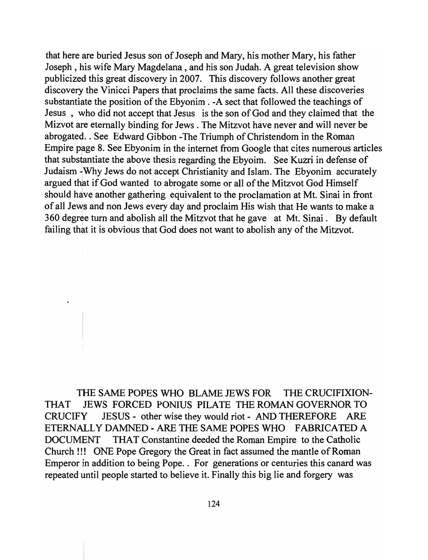that here are buried Jesus son of Joseph and Mary, his mother Mary, his father Joseph, his wife Mary Magdelana , and his son Judah. A great television show publicized this great discovery in 2007. This discovery follows another great discovery the Vinicci Papers that proclaims the same facts. All these discoveries substantiate the position of the Ebyonim . -A sect that followed the teachings of Jesus , who did not accept that Jesus is the son of God and they claimed that the Mizvot are eternally binding for Jews . The Mitzvot have never and will never be abrogated. . See Edward Gibbon -The Triumph of Christendom in the Roman Empire page 8. See Ebyonim in the internet from Google that cites numerous articles that substantiate the above thesis regarding the Ebyoim. See Kuzri in defense of Judaism 1Why Jews do not accept Christianity and Islam. The Ebyonim accurately argued that if God wanted to abrogate some or all of the Mitzvot God Himself should have another gathering equivalent to the proclamation at Mt. Sinai in front of all Jews and non Jews every day and proclaim His wish that He wants to make a 360 degr¢e turn and abolish all the Mitzvot that he gave at Mt. Sinai. By default failing that it is obvious that God does not want to abolish any of the Mitzvot.

THE SAME POPES WHO BLAME JEWS FOR THE CRUCIFIXION-THAT JEWS FORCED PONIUS PILATE THE ROMAN GOVERNOR TO CRUCIFY JESUS - other wise they would riot - AND THEREFORE ARE ETERNALLY DAMNED - ARE THE SAME POPES WHO FABRICATED A DOCUMENT THAT Constantine deeded the Roman Empire to the Catholic Church !!! ONE Pope Gregory the Great in fact assumed the mantle of Roman Emperor in addition to being Pope .. For generations or centuries this canard was repeated until people started to believe it. Finally this big lie and forgery was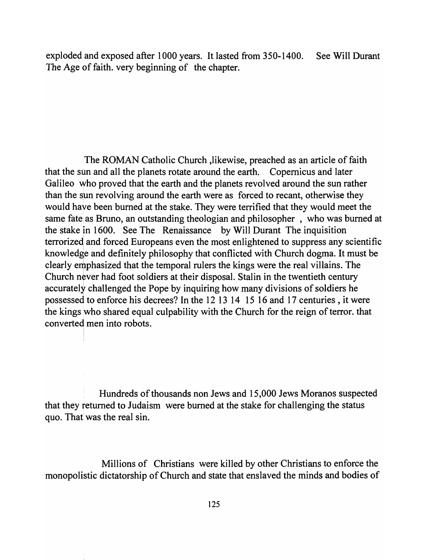exploded and exposed after 1000 years. It lasted from 350-1400. See Will Durant The Age of faith. very beginning of the chapter.

The ROMAN Catholic Church ,likewise, preached as an article of faith that the sun and all the planets rotate around the earth. Copernicus and later Galileo who proved that the earth and the planets revolved around the sun rather than the sun revolving around the earth were as forced to recant, otherwise they would have been burned at the stake. They were terrified that they would meet the same fate as Bruno, an outstanding theologian and philosopher, who was burned at the stake in 1600. See The Renaissance by Will Durant The inquisition terrorized and forced Europeans even the most enlightened to suppress any scientific knowledge and definitely philosophy that conflicted with Church dogma. It must be clearly emphasized that the temporal rulers the kings were the real villains. The Church never had foot soldiers at their disposal. Stalin in the twentieth century accurately challenged the Pope by inquiring how many divisions of soldiers he possessed to enforce his decrees? In the 12 13 14 15 16 and 17 centuries, it were the kings who shared equal culpability with the Church for the reign of terror. that converted men into robots.

Hundreds of thousands non Jews and 15,000 Jews Moranos suspected that they returned to Judaism were burned at the stake for challenging the status quo. That was the real sin.

Millions of Christians were killed by other Christians to enforce the monopolistic dictatorship of Church and state that enslaved the minds and bodies of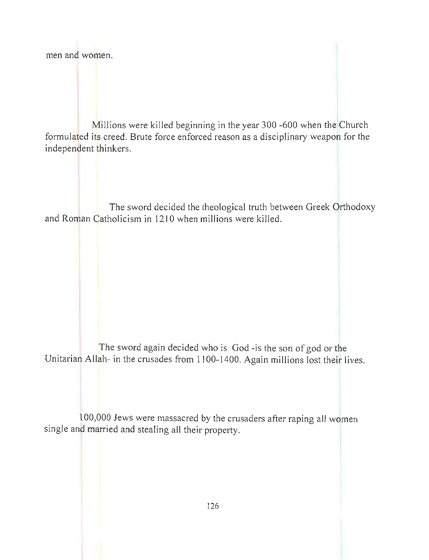men and women.

Millions were killed beginning in the year 300 -600 when the Church formulated its creed. Brute force enforced reason as a disciplinary weapon for the independent thinkers.

The sword decided the theological truth between Greek Orthodoxy and Roman Catholicism in 1210 when millions were killed.

The sword again decided who is God -is the son of god or the Unitarian Allah- in the crusades from 1100-1400. Again millions lost their lives.

100,000 Jews were massacred by the crusaders after raping all women single and married and stealing all their property.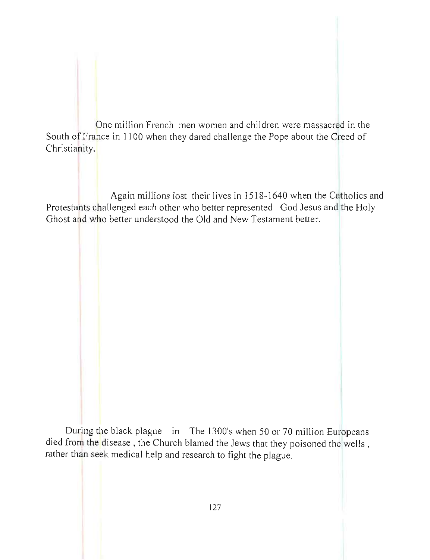One million French men women and children were massacred in the South of France in 1100 when they dared challenge the Pope about the Creed of Christianity.

Again millions lost their lives in 1518-1640 when the Catholics and Protestants challenged each other who better represented God Jesus and the Holy Ghost and who better understood the Old and New Testament better.

During the black plague in The 1300's when 50 or 70 million Europeans died from the disease, the Church blamed the Jews that they poisoned the wells, rather than seek medical help and research to fight the plague.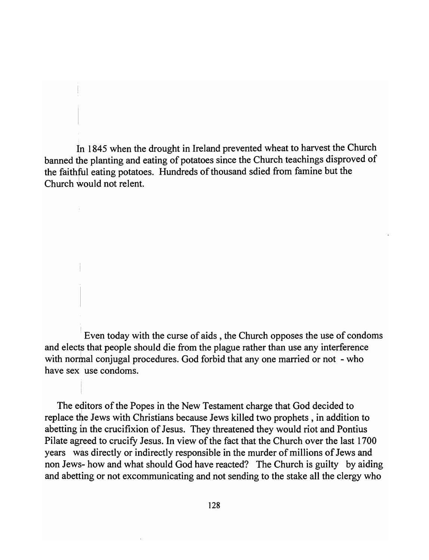In 1845 when the drought in Ireland prevented wheat to harvest the Church banned the planting and eating of potatoes since the Church teachings disproved of the faithful eating potatoes. Hundreds of thousand sdied from famine but the Church would not relent.

Even today with the curse of aids, the Church opposes the use of condoms and elects that people should die from the plague rather than use any interference with normal conjugal procedures. God forbid that any one married or not - who have sex use condoms.

The editors of the Popes in the New Testament charge that God decided to replace the Jews with Christians because Jews killed two prophets, in addition to abetting in the crucifixion of Jesus. They threatened they would riot and Pontius Pilate agreed to crucify Jesus. In view of the fact that the Church over the last 1700 years was directly or indirectly responsible in the murder of millions of Jews and non Jews- how and what should God have reacted? The Church is guilty by aiding and abetting or not excommunicating and not sending to the stake all the clergy who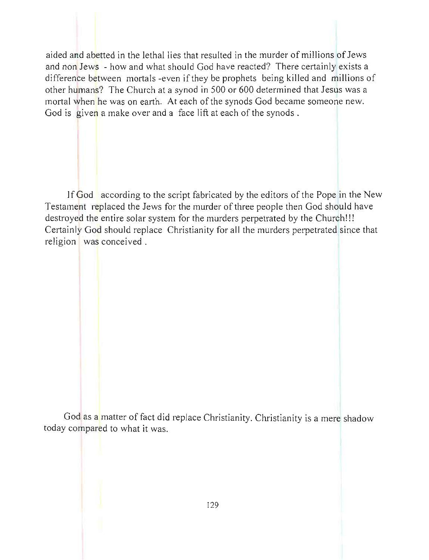aided and abetted in the lethal lies that resulted in the murder of millions of Jews and non Jews - how and what should God have reacted? There certainly exists a difference between mortals -even if they be prophets being killed and millions of other humans? The Church at a synod in 500 or 600 determined that Jesus was a mortal when he was on earth. At each of the synods God became someone new. God is given a make over and a face lift at each of the synods.

If God according to the script fabricated by the editors of the Pope in the New Testament replaced the Jews for the murder of three people then God should have destroyed the entire solar system for the murders perpetrated by the Church!!! Certainly God should replace Christianity for all the murders perpetrated since that religion was conceived.

God as a matter of fact did replace Christianity. Christianity is a mere shadow today compared to what it was.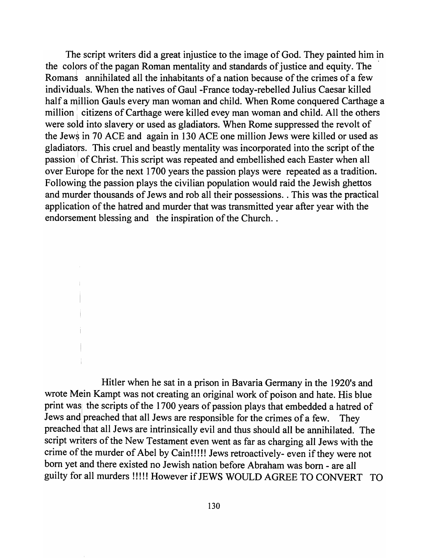The script writers did a great injustice to the image of God. They painted him in the colors of the pagan Roman mentality and standards of justice and equity. The Romans—annihilated all the inhabitants of a nation because of the crimes of a few individuals. When the natives of Gaul -France today-rebelled Julius Caesar killed half a million Gauls every man woman and child. When Rome conquered Carthage a million citizens of Carthage were killed evey man woman and child. All the others were sold into slavery or used as gladiators. When Rome suppressed the revolt of the Jews in 70 ACE and again in 130 ACE one million Jews were killed or used as gladiators. This cruel and beastly mentality was incorporated into the script of the passion of Christ. This script was repeated and embellished each Easter when all over Europe for the next 1700 years the passion plays were repeated as a tradition. Following the passion plays the civilian population would raid the Jewish ghettos and murder thousands of Jews and rob all their possessions .. This was the practical application of the hatred and murder that was transmitted year after year with the endorsement blessing and the inspiration of the Church..

Hitler when he sat in a prison in Bavaria Germany in the 1920's and wrote Mein Kampt was not creating an original work of poison and hate. His blue print was the scripts of the 1700 years of passion plays that embedded a hatred of Jews and'preached that all Jews are responsible for the crimes of a few. They preached that all Jews are intrinsically evil and thus should all be annihilated. The script writers of the New Testament even went as far as charging all Jews with the crime of the murder of Abel by Cain!!!!! Jews retroactively- even if they were not born yet and there existed no Jewish nation before Abraham was born - are all guilty for all murders!!!!! However if JEWS WOULD AGREE TO CONVERT TO